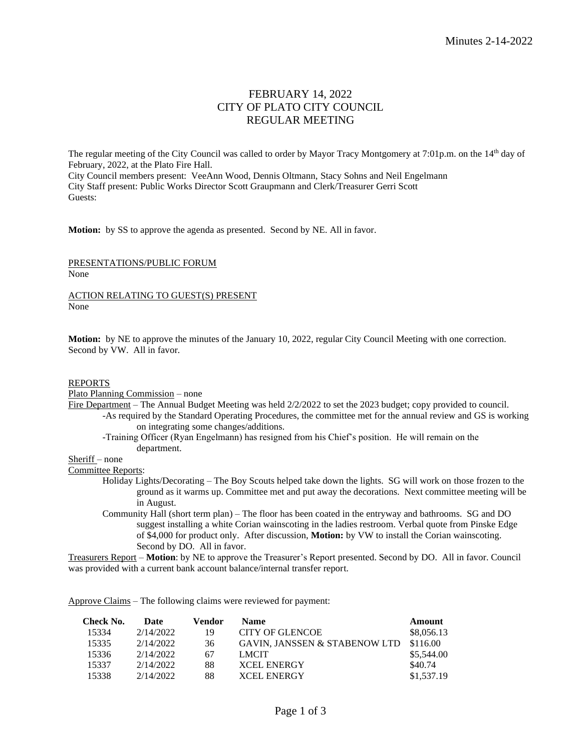# FEBRUARY 14, 2022 CITY OF PLATO CITY COUNCIL REGULAR MEETING

The regular meeting of the City Council was called to order by Mayor Tracy Montgomery at 7:01p.m. on the 14<sup>th</sup> day of February, 2022, at the Plato Fire Hall. City Council members present: VeeAnn Wood, Dennis Oltmann, Stacy Sohns and Neil Engelmann City Staff present: Public Works Director Scott Graupmann and Clerk/Treasurer Gerri Scott Guests:

**Motion:** by SS to approve the agenda as presented. Second by NE. All in favor.

PRESENTATIONS/PUBLIC FORUM None

ACTION RELATING TO GUEST(S) PRESENT None

**Motion:** by NE to approve the minutes of the January 10, 2022, regular City Council Meeting with one correction. Second by VW. All in favor.

#### REPORTS

Plato Planning Commission – none

Fire Department – The Annual Budget Meeting was held  $2/2/2022$  to set the 2023 budget; copy provided to council.

- -As required by the Standard Operating Procedures, the committee met for the annual review and GS is working on integrating some changes/additions.
	- -Training Officer (Ryan Engelmann) has resigned from his Chief's position. He will remain on the department.

Sheriff – none

Committee Reports:

- Holiday Lights/Decorating The Boy Scouts helped take down the lights. SG will work on those frozen to the ground as it warms up. Committee met and put away the decorations. Next committee meeting will be in August.
- Community Hall (short term plan) The floor has been coated in the entryway and bathrooms. SG and DO suggest installing a white Corian wainscoting in the ladies restroom. Verbal quote from Pinske Edge of \$4,000 for product only. After discussion, **Motion:** by VW to install the Corian wainscoting. Second by DO. All in favor.

Treasurers Report – **Motion**: by NE to approve the Treasurer's Report presented. Second by DO. All in favor. Council was provided with a current bank account balance/internal transfer report.

Approve Claims – The following claims were reviewed for payment:

| Check No. | Date      | Vendor | <b>Name</b>                   | Amount     |
|-----------|-----------|--------|-------------------------------|------------|
| 15334     | 2/14/2022 | 19     | CITY OF GLENCOE               | \$8,056.13 |
| 15335     | 2/14/2022 | 36     | GAVIN, JANSSEN & STABENOW LTD | \$116.00   |
| 15336     | 2/14/2022 | 67     | <b>LMCIT</b>                  | \$5,544.00 |
| 15337     | 2/14/2022 | 88     | <b>XCEL ENERGY</b>            | \$40.74    |
| 15338     | 2/14/2022 | 88     | <b>XCEL ENERGY</b>            | \$1,537.19 |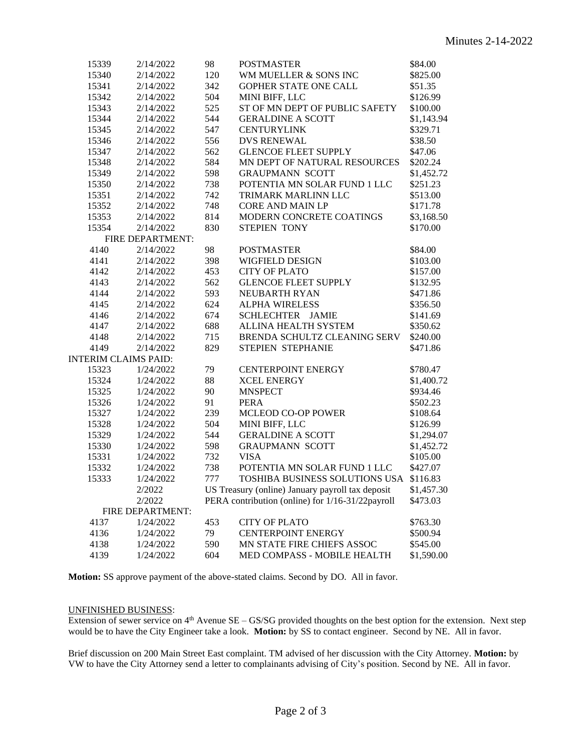| 15339                       | 2/14/2022        | 98  | <b>POSTMASTER</b>                                | \$84.00    |
|-----------------------------|------------------|-----|--------------------------------------------------|------------|
| 15340                       | 2/14/2022        | 120 | WM MUELLER & SONS INC                            | \$825.00   |
| 15341                       | 2/14/2022        | 342 | GOPHER STATE ONE CALL                            | \$51.35    |
| 15342                       | 2/14/2022        | 504 | MINI BIFF, LLC                                   | \$126.99   |
| 15343                       | 2/14/2022        | 525 | ST OF MN DEPT OF PUBLIC SAFETY                   | \$100.00   |
| 15344                       | 2/14/2022        | 544 | <b>GERALDINE A SCOTT</b>                         | \$1,143.94 |
| 15345                       | 2/14/2022        | 547 | <b>CENTURYLINK</b>                               | \$329.71   |
| 15346                       | 2/14/2022        | 556 | <b>DVS RENEWAL</b>                               | \$38.50    |
| 15347                       | 2/14/2022        | 562 | <b>GLENCOE FLEET SUPPLY</b>                      | \$47.06    |
| 15348                       | 2/14/2022        | 584 | MN DEPT OF NATURAL RESOURCES                     | \$202.24   |
| 15349                       | 2/14/2022        | 598 | <b>GRAUPMANN SCOTT</b>                           | \$1,452.72 |
| 15350                       | 2/14/2022        | 738 | POTENTIA MN SOLAR FUND 1 LLC                     | \$251.23   |
| 15351                       | 2/14/2022        | 742 | TRIMARK MARLINN LLC                              | \$513.00   |
| 15352                       | 2/14/2022        | 748 | <b>CORE AND MAIN LP</b>                          | \$171.78   |
| 15353                       | 2/14/2022        | 814 | MODERN CONCRETE COATINGS                         | \$3,168.50 |
| 15354                       | 2/14/2022        | 830 | <b>STEPIEN TONY</b>                              | \$170.00   |
|                             | FIRE DEPARTMENT: |     |                                                  |            |
| 4140                        | 2/14/2022        | 98  | <b>POSTMASTER</b>                                | \$84.00    |
| 4141                        | 2/14/2022        | 398 | WIGFIELD DESIGN                                  | \$103.00   |
| 4142                        | 2/14/2022        | 453 | <b>CITY OF PLATO</b>                             | \$157.00   |
| 4143                        | 2/14/2022        | 562 | <b>GLENCOE FLEET SUPPLY</b>                      | \$132.95   |
| 4144                        | 2/14/2022        | 593 | NEUBARTH RYAN                                    | \$471.86   |
| 4145                        | 2/14/2022        | 624 | <b>ALPHA WIRELESS</b>                            | \$356.50   |
| 4146                        | 2/14/2022        | 674 | SCHLECHTER JAMIE                                 | \$141.69   |
| 4147                        | 2/14/2022        | 688 | <b>ALLINA HEALTH SYSTEM</b>                      | \$350.62   |
| 4148                        | 2/14/2022        | 715 | BRENDA SCHULTZ CLEANING SERV                     | \$240.00   |
| 4149                        | 2/14/2022        | 829 | STEPIEN STEPHANIE                                | \$471.86   |
| <b>INTERIM CLAIMS PAID:</b> |                  |     |                                                  |            |
| 15323                       | 1/24/2022        | 79  | CENTERPOINT ENERGY                               | \$780.47   |
| 15324                       | 1/24/2022        | 88  | <b>XCEL ENERGY</b>                               | \$1,400.72 |
| 15325                       | 1/24/2022        | 90  | <b>MNSPECT</b>                                   | \$934.46   |
| 15326                       | 1/24/2022        | 91  | <b>PERA</b>                                      | \$502.23   |
| 15327                       | 1/24/2022        | 239 | MCLEOD CO-OP POWER                               | \$108.64   |
| 15328                       | 1/24/2022        | 504 | MINI BIFF, LLC                                   | \$126.99   |
| 15329                       | 1/24/2022        | 544 | <b>GERALDINE A SCOTT</b>                         | \$1,294.07 |
| 15330                       | 1/24/2022        | 598 | <b>GRAUPMANN SCOTT</b>                           | \$1,452.72 |
| 15331                       | 1/24/2022        | 732 | <b>VISA</b>                                      | \$105.00   |
| 15332                       | 1/24/2022        | 738 | POTENTIA MN SOLAR FUND 1 LLC                     | \$427.07   |
| 15333                       | 1/24/2022        | 777 | TOSHIBA BUSINESS SOLUTIONS USA \$116.83          |            |
|                             | 2/2022           |     | US Treasury (online) January payroll tax deposit | \$1,457.30 |
|                             | 2/2022           |     | PERA contribution (online) for 1/16-31/22payroll | \$473.03   |
|                             | FIRE DEPARTMENT: |     |                                                  |            |
| 4137                        | 1/24/2022        | 453 | <b>CITY OF PLATO</b>                             | \$763.30   |
| 4136                        | 1/24/2022        | 79  | <b>CENTERPOINT ENERGY</b>                        | \$500.94   |
| 4138                        | 1/24/2022        | 590 | MN STATE FIRE CHIEFS ASSOC                       | \$545.00   |
| 4139                        | 1/24/2022        | 604 | MED COMPASS - MOBILE HEALTH                      | \$1,590.00 |
|                             |                  |     |                                                  |            |

**Motion:** SS approve payment of the above-stated claims. Second by DO. All in favor.

## UNFINISHED BUSINESS:

Extension of sewer service on  $4<sup>th</sup>$  Avenue SE – GS/SG provided thoughts on the best option for the extension. Next step would be to have the City Engineer take a look. **Motion:** by SS to contact engineer. Second by NE. All in favor.

Brief discussion on 200 Main Street East complaint. TM advised of her discussion with the City Attorney. **Motion:** by VW to have the City Attorney send a letter to complainants advising of City's position. Second by NE. All in favor.